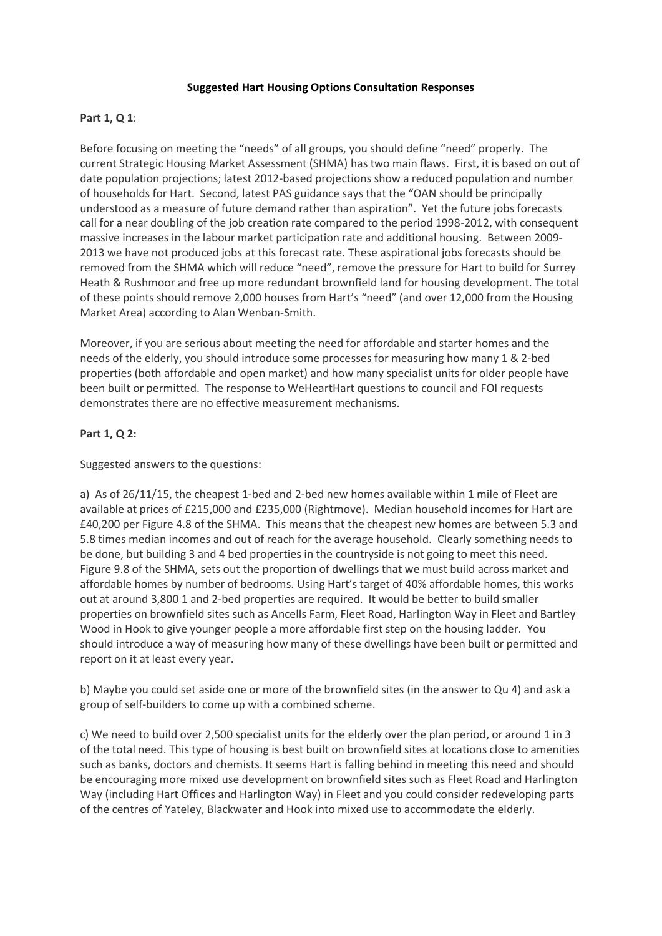### **Suggested Hart Housing Options Consultation Responses**

# **Part 1, Q 1**:

Before focusing on meeting the "needs" of all groups, you should define "need" properly. The current Strategic Housing Market Assessment (SHMA) has two main flaws. First, it is based on out of date population projections; latest 2012-based projections show a reduced population and number of households for Hart. Second, latest PAS guidance says that the "OAN should be principally understood as a measure of future demand rather than aspiration". Yet the future jobs forecasts call for a near doubling of the job creation rate compared to the period 1998-2012, with consequent massive increases in the labour market participation rate and additional housing. Between 2009- 2013 we have not produced jobs at this forecast rate. These aspirational jobs forecasts should be removed from the SHMA which will reduce "need", remove the pressure for Hart to build for Surrey Heath & Rushmoor and free up more redundant brownfield land for housing development. The total of these points should remove 2,000 houses from Hart's "need" (and over 12,000 from the Housing Market Area) according to Alan Wenban-Smith.

Moreover, if you are serious about meeting the need for affordable and starter homes and the needs of the elderly, you should introduce some processes for measuring how many 1 & 2-bed properties (both affordable and open market) and how many specialist units for older people have been built or permitted. The response to WeHeartHart questions to council and FOI requests demonstrates there are no effective measurement mechanisms.

### **Part 1, Q 2:**

Suggested answers to the questions:

a) As of 26/11/15, the cheapest 1-bed and 2-bed new homes available within 1 mile of Fleet are available at prices of £215,000 and £235,000 (Rightmove). Median household incomes for Hart are £40,200 per Figure 4.8 of the SHMA. This means that the cheapest new homes are between 5.3 and 5.8 times median incomes and out of reach for the average household. Clearly something needs to be done, but building 3 and 4 bed properties in the countryside is not going to meet this need. Figure 9.8 of the SHMA, sets out the proportion of dwellings that we must build across market and affordable homes by number of bedrooms. Using Hart's target of 40% affordable homes, this works out at around 3,800 1 and 2-bed properties are required. It would be better to build smaller properties on brownfield sites such as Ancells Farm, Fleet Road, Harlington Way in Fleet and Bartley Wood in Hook to give younger people a more affordable first step on the housing ladder. You should introduce a way of measuring how many of these dwellings have been built or permitted and report on it at least every year.

b) Maybe you could set aside one or more of the brownfield sites (in the answer to Qu 4) and ask a group of self-builders to come up with a combined scheme.

c) We need to build over 2,500 specialist units for the elderly over the plan period, or around 1 in 3 of the total need. This type of housing is best built on brownfield sites at locations close to amenities such as banks, doctors and chemists. It seems Hart is falling behind in meeting this need and should be encouraging more mixed use development on brownfield sites such as Fleet Road and Harlington Way (including Hart Offices and Harlington Way) in Fleet and you could consider redeveloping parts of the centres of Yateley, Blackwater and Hook into mixed use to accommodate the elderly.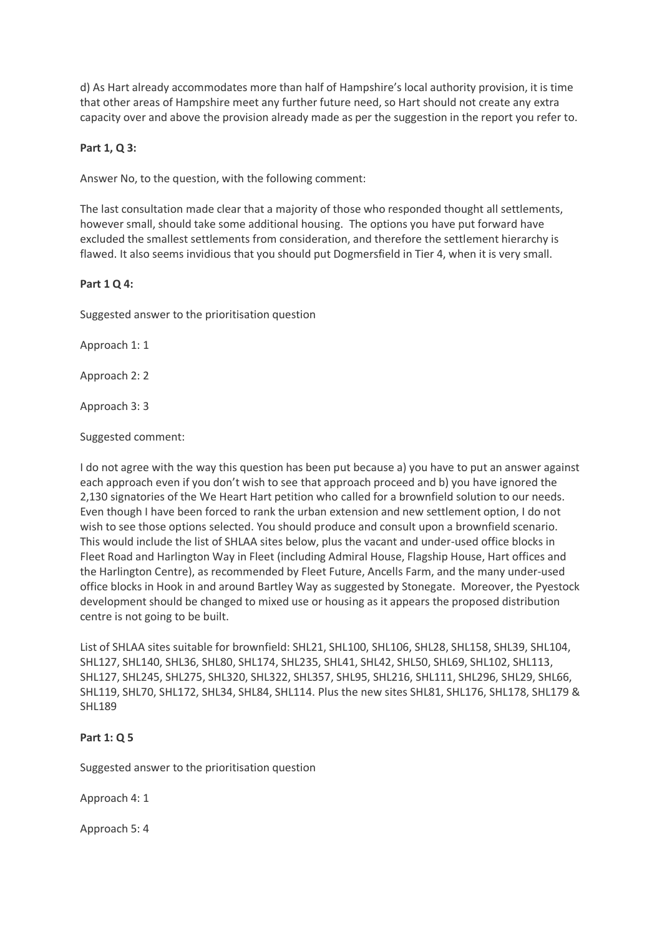d) As Hart already accommodates more than half of Hampshire's local authority provision, it is time that other areas of Hampshire meet any further future need, so Hart should not create any extra capacity over and above the provision already made as per the suggestion in the report you refer to.

### **Part 1, Q 3:**

Answer No, to the question, with the following comment:

The last consultation made clear that a majority of those who responded thought all settlements, however small, should take some additional housing. The options you have put forward have excluded the smallest settlements from consideration, and therefore the settlement hierarchy is flawed. It also seems invidious that you should put Dogmersfield in Tier 4, when it is very small.

### **Part 1 Q 4:**

Suggested answer to the prioritisation question

Approach 1: 1

Approach 2: 2

Approach 3: 3

Suggested comment:

I do not agree with the way this question has been put because a) you have to put an answer against each approach even if you don't wish to see that approach proceed and b) you have ignored the 2,130 signatories of the We Heart Hart petition who called for a brownfield solution to our needs. Even though I have been forced to rank the urban extension and new settlement option, I do not wish to see those options selected. You should produce and consult upon a brownfield scenario. This would include the list of SHLAA sites below, plus the vacant and under-used office blocks in Fleet Road and Harlington Way in Fleet (including Admiral House, Flagship House, Hart offices and the Harlington Centre), as recommended by Fleet Future, Ancells Farm, and the many under-used office blocks in Hook in and around Bartley Way as suggested by Stonegate. Moreover, the Pyestock development should be changed to mixed use or housing as it appears the proposed distribution centre is not going to be built.

List of SHLAA sites suitable for brownfield: SHL21, SHL100, SHL106, SHL28, SHL158, SHL39, SHL104, SHL127, SHL140, SHL36, SHL80, SHL174, SHL235, SHL41, SHL42, SHL50, SHL69, SHL102, SHL113, SHL127, SHL245, SHL275, SHL320, SHL322, SHL357, SHL95, SHL216, SHL111, SHL296, SHL29, SHL66, SHL119, SHL70, SHL172, SHL34, SHL84, SHL114. Plus the new sites SHL81, SHL176, SHL178, SHL179 & SHL189

# **Part 1: Q 5**

Suggested answer to the prioritisation question

Approach 4: 1

Approach 5: 4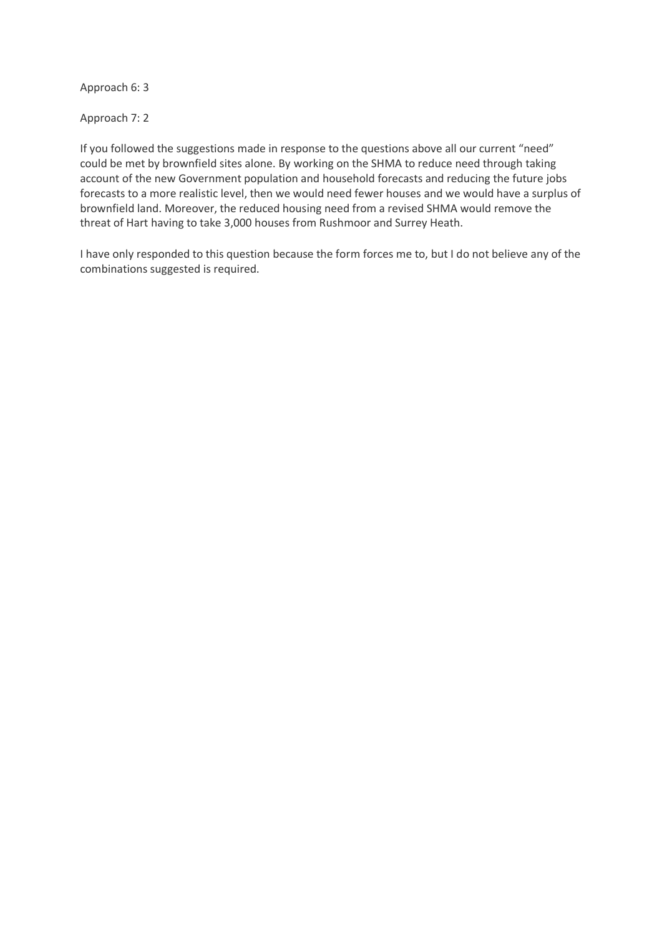Approach 6: 3

Approach 7: 2

If you followed the suggestions made in response to the questions above all our current "need" could be met by brownfield sites alone. By working on the SHMA to reduce need through taking account of the new Government population and household forecasts and reducing the future jobs forecasts to a more realistic level, then we would need fewer houses and we would have a surplus of brownfield land. Moreover, the reduced housing need from a revised SHMA would remove the threat of Hart having to take 3,000 houses from Rushmoor and Surrey Heath.

I have only responded to this question because the form forces me to, but I do not believe any of the combinations suggested is required.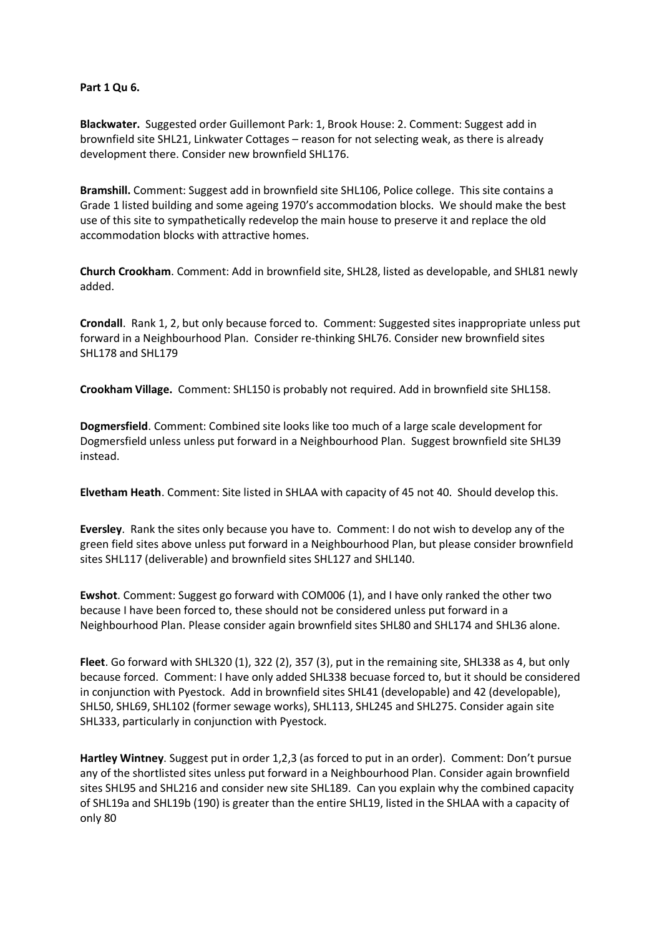#### **Part 1 Qu 6.**

**Blackwater.** Suggested order Guillemont Park: 1, Brook House: 2. Comment: Suggest add in brownfield site SHL21, Linkwater Cottages – reason for not selecting weak, as there is already development there. Consider new brownfield SHL176.

**Bramshill.** Comment: Suggest add in brownfield site SHL106, Police college. This site contains a Grade 1 listed building and some ageing 1970's accommodation blocks. We should make the best use of this site to sympathetically redevelop the main house to preserve it and replace the old accommodation blocks with attractive homes.

**Church Crookham**. Comment: Add in brownfield site, SHL28, listed as developable, and SHL81 newly added.

**Crondall**. Rank 1, 2, but only because forced to. Comment: Suggested sites inappropriate unless put forward in a Neighbourhood Plan. Consider re-thinking SHL76. Consider new brownfield sites SHL178 and SHL179

**Crookham Village.** Comment: SHL150 is probably not required. Add in brownfield site SHL158.

**Dogmersfield**. Comment: Combined site looks like too much of a large scale development for Dogmersfield unless unless put forward in a Neighbourhood Plan. Suggest brownfield site SHL39 instead.

**Elvetham Heath**. Comment: Site listed in SHLAA with capacity of 45 not 40. Should develop this.

**Eversley**. Rank the sites only because you have to. Comment: I do not wish to develop any of the green field sites above unless put forward in a Neighbourhood Plan, but please consider brownfield sites SHL117 (deliverable) and brownfield sites SHL127 and SHL140.

**Ewshot**. Comment: Suggest go forward with COM006 (1), and I have only ranked the other two because I have been forced to, these should not be considered unless put forward in a Neighbourhood Plan. Please consider again brownfield sites SHL80 and SHL174 and SHL36 alone.

**Fleet**. Go forward with SHL320 (1), 322 (2), 357 (3), put in the remaining site, SHL338 as 4, but only because forced. Comment: I have only added SHL338 becuase forced to, but it should be considered in conjunction with Pyestock. Add in brownfield sites SHL41 (developable) and 42 (developable), SHL50, SHL69, SHL102 (former sewage works), SHL113, SHL245 and SHL275. Consider again site SHL333, particularly in conjunction with Pyestock.

**Hartley Wintney**. Suggest put in order 1,2,3 (as forced to put in an order). Comment: Don't pursue any of the shortlisted sites unless put forward in a Neighbourhood Plan. Consider again brownfield sites SHL95 and SHL216 and consider new site SHL189. Can you explain why the combined capacity of SHL19a and SHL19b (190) is greater than the entire SHL19, listed in the SHLAA with a capacity of only 80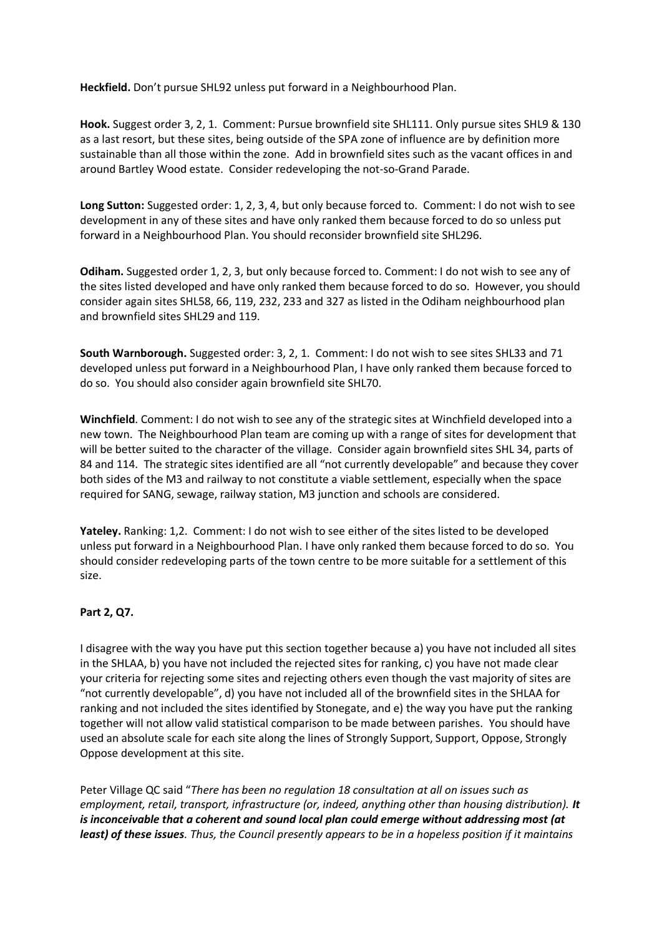**Heckfield.** Don't pursue SHL92 unless put forward in a Neighbourhood Plan.

**Hook.** Suggest order 3, 2, 1. Comment: Pursue brownfield site SHL111. Only pursue sites SHL9 & 130 as a last resort, but these sites, being outside of the SPA zone of influence are by definition more sustainable than all those within the zone. Add in brownfield sites such as the vacant offices in and around Bartley Wood estate. Consider redeveloping the not-so-Grand Parade.

**Long Sutton:** Suggested order: 1, 2, 3, 4, but only because forced to. Comment: I do not wish to see development in any of these sites and have only ranked them because forced to do so unless put forward in a Neighbourhood Plan. You should reconsider brownfield site SHL296.

**Odiham.** Suggested order 1, 2, 3, but only because forced to. Comment: I do not wish to see any of the sites listed developed and have only ranked them because forced to do so. However, you should consider again sites SHL58, 66, 119, 232, 233 and 327 as listed in the Odiham neighbourhood plan and brownfield sites SHL29 and 119.

**South Warnborough.** Suggested order: 3, 2, 1. Comment: I do not wish to see sites SHL33 and 71 developed unless put forward in a Neighbourhood Plan, I have only ranked them because forced to do so. You should also consider again brownfield site SHL70.

**Winchfield**. Comment: I do not wish to see any of the strategic sites at Winchfield developed into a new town. The Neighbourhood Plan team are coming up with a range of sites for development that will be better suited to the character of the village. Consider again brownfield sites SHL 34, parts of 84 and 114. The strategic sites identified are all "not currently developable" and because they cover both sides of the M3 and railway to not constitute a viable settlement, especially when the space required for SANG, sewage, railway station, M3 junction and schools are considered.

**Yateley.** Ranking: 1,2. Comment: I do not wish to see either of the sites listed to be developed unless put forward in a Neighbourhood Plan. I have only ranked them because forced to do so. You should consider redeveloping parts of the town centre to be more suitable for a settlement of this size.

# **Part 2, Q7.**

I disagree with the way you have put this section together because a) you have not included all sites in the SHLAA, b) you have not included the rejected sites for ranking, c) you have not made clear your criteria for rejecting some sites and rejecting others even though the vast majority of sites are "not currently developable", d) you have not included all of the brownfield sites in the SHLAA for ranking and not included the sites identified by Stonegate, and e) the way you have put the ranking together will not allow valid statistical comparison to be made between parishes. You should have used an absolute scale for each site along the lines of Strongly Support, Support, Oppose, Strongly Oppose development at this site.

Peter Village QC said "*There has been no regulation 18 consultation at all on issues such as employment, retail, transport, infrastructure (or, indeed, anything other than housing distribution). It is inconceivable that a coherent and sound local plan could emerge without addressing most (at least) of these issues. Thus, the Council presently appears to be in a hopeless position if it maintains*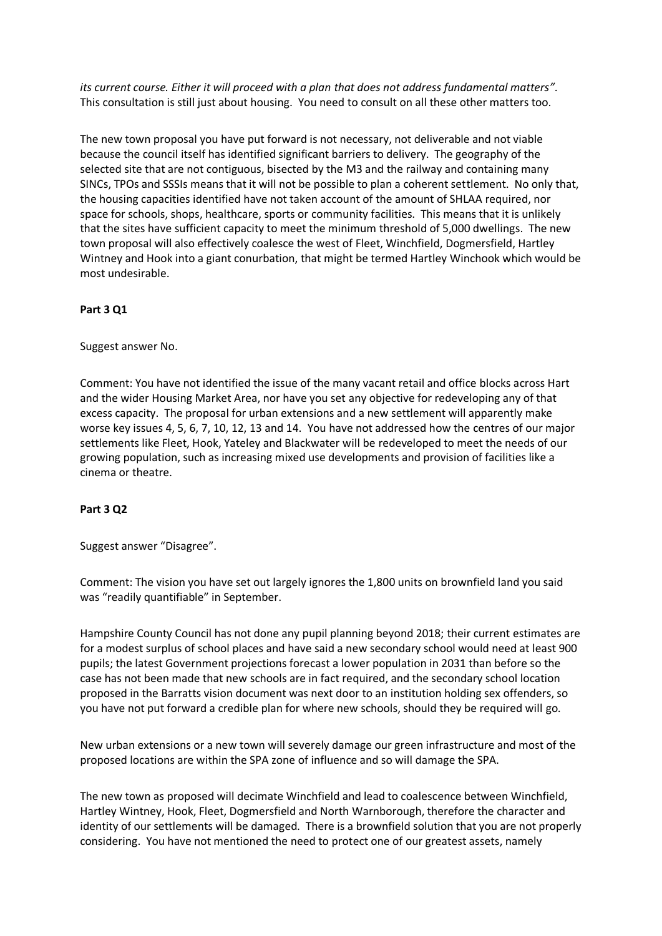*its current course. Either it will proceed with a plan that does not address fundamental matters"*. This consultation is still just about housing. You need to consult on all these other matters too.

The new town proposal you have put forward is not necessary, not deliverable and not viable because the council itself has identified significant barriers to delivery. The geography of the selected site that are not contiguous, bisected by the M3 and the railway and containing many SINCs, TPOs and SSSIs means that it will not be possible to plan a coherent settlement. No only that, the housing capacities identified have not taken account of the amount of SHLAA required, nor space for schools, shops, healthcare, sports or community facilities. This means that it is unlikely that the sites have sufficient capacity to meet the minimum threshold of 5,000 dwellings. The new town proposal will also effectively coalesce the west of Fleet, Winchfield, Dogmersfield, Hartley Wintney and Hook into a giant conurbation, that might be termed Hartley Winchook which would be most undesirable.

# **Part 3 Q1**

Suggest answer No.

Comment: You have not identified the issue of the many vacant retail and office blocks across Hart and the wider Housing Market Area, nor have you set any objective for redeveloping any of that excess capacity. The proposal for urban extensions and a new settlement will apparently make worse key issues 4, 5, 6, 7, 10, 12, 13 and 14. You have not addressed how the centres of our major settlements like Fleet, Hook, Yateley and Blackwater will be redeveloped to meet the needs of our growing population, such as increasing mixed use developments and provision of facilities like a cinema or theatre.

# **Part 3 Q2**

Suggest answer "Disagree".

Comment: The vision you have set out largely ignores the 1,800 units on brownfield land you said was "readily quantifiable" in September.

Hampshire County Council has not done any pupil planning beyond 2018; their current estimates are for a modest surplus of school places and have said a new secondary school would need at least 900 pupils; the latest Government projections forecast a lower population in 2031 than before so the case has not been made that new schools are in fact required, and the secondary school location proposed in the Barratts vision document was next door to an institution holding sex offenders, so you have not put forward a credible plan for where new schools, should they be required will go.

New urban extensions or a new town will severely damage our green infrastructure and most of the proposed locations are within the SPA zone of influence and so will damage the SPA.

The new town as proposed will decimate Winchfield and lead to coalescence between Winchfield, Hartley Wintney, Hook, Fleet, Dogmersfield and North Warnborough, therefore the character and identity of our settlements will be damaged. There is a brownfield solution that you are not properly considering. You have not mentioned the need to protect one of our greatest assets, namely